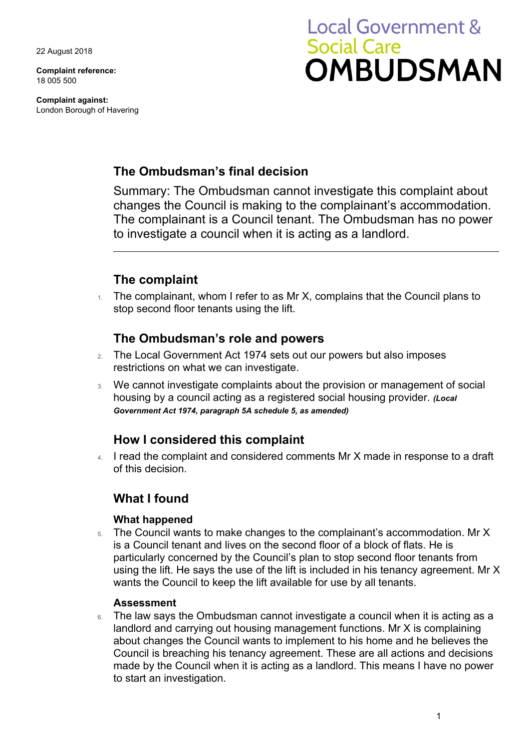22 August 2018

**Complaint reference:**  18 005 500

**Complaint against:**  London Borough of Havering

# **Local Government & Social Care OMBUDSMAN**

## **The Ombudsman's final decision**

Summary: The Ombudsman cannot investigate this complaint about changes the Council is making to the complainant's accommodation. The complainant is a Council tenant. The Ombudsman has no power to investigate a council when it is acting as a landlord.

## **The complaint**

 $1.$  The complainant, whom I refer to as Mr X, complains that the Council plans to stop second floor tenants using the lift.

### **The Ombudsman's role and powers**

- 2. The Local Government Act 1974 sets out our powers but also imposes restrictions on what we can investigate.
- 3. We cannot investigate complaints about the provision or management of social housing by a council acting as a registered social housing provider. *(Local Government Act 1974, paragraph 5A schedule 5, as amended)*

### **How I considered this complaint**

4. I read the complaint and considered comments Mr X made in response to a draft of this decision.

### **What I found**

#### **What happened**

 using the lift. He says the use of the lift is included in his tenancy agreement. Mr X 5. The Council wants to make changes to the complainant's accommodation. Mr X is a Council tenant and lives on the second floor of a block of flats. He is particularly concerned by the Council's plan to stop second floor tenants from wants the Council to keep the lift available for use by all tenants.

#### **Assessment**

6. The law says the Ombudsman cannot investigate a council when it is acting as a landlord and carrying out housing management functions. Mr X is complaining about changes the Council wants to implement to his home and he believes the Council is breaching his tenancy agreement. These are all actions and decisions made by the Council when it is acting as a landlord. This means I have no power to start an investigation.